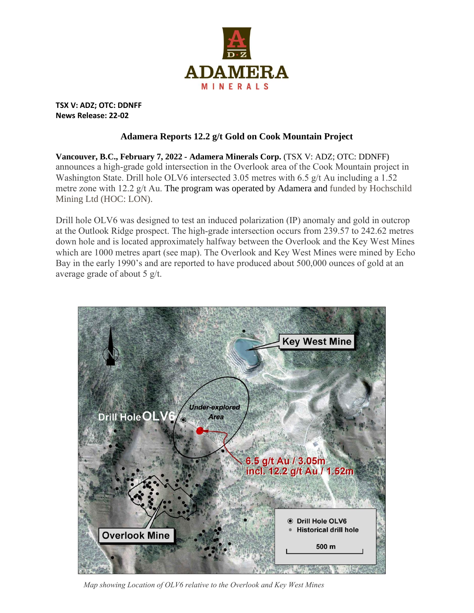

**TSX V: ADZ; OTC: DDNFF News Release: 22-02**

## **Adamera Reports 12.2 g/t Gold on Cook Mountain Project**

**Vancouver, B.C., February 7, 2022 - Adamera Minerals Corp.** (TSX V: ADZ; OTC: DDNFF) announces a high-grade gold intersection in the Overlook area of the Cook Mountain project in Washington State. Drill hole OLV6 intersected 3.05 metres with 6.5 g/t Au including a 1.52 metre zone with 12.2  $g/t$  Au. The program was operated by Adamera and funded by Hochschild Mining Ltd (HOC: LON).

Drill hole OLV6 was designed to test an induced polarization (IP) anomaly and gold in outcrop at the Outlook Ridge prospect. The high-grade intersection occurs from 239.57 to 242.62 metres down hole and is located approximately halfway between the Overlook and the Key West Mines which are 1000 metres apart (see map). The Overlook and Key West Mines were mined by Echo Bay in the early 1990's and are reported to have produced about 500,000 ounces of gold at an average grade of about 5 g/t.



*Map showing Location of OLV6 relative to the Overlook and Key West Mines*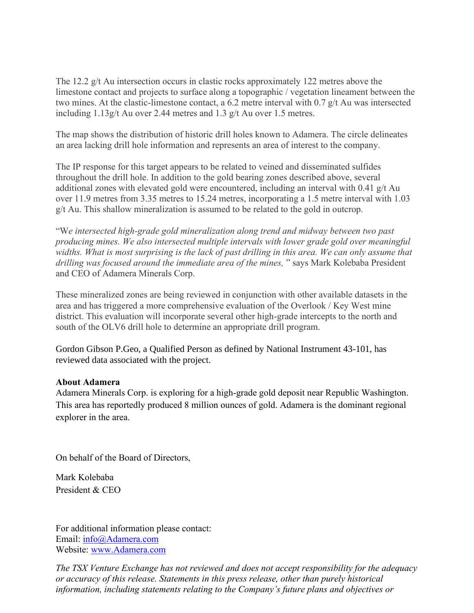The 12.2 g/t Au intersection occurs in clastic rocks approximately 122 metres above the limestone contact and projects to surface along a topographic / vegetation lineament between the two mines. At the clastic-limestone contact, a 6.2 metre interval with 0.7 g/t Au was intersected including 1.13g/t Au over 2.44 metres and 1.3 g/t Au over 1.5 metres.

The map shows the distribution of historic drill holes known to Adamera. The circle delineates an area lacking drill hole information and represents an area of interest to the company.

The IP response for this target appears to be related to veined and disseminated sulfides throughout the drill hole. In addition to the gold bearing zones described above, several additional zones with elevated gold were encountered, including an interval with 0.41 g/t Au over 11.9 metres from 3.35 metres to 15.24 metres, incorporating a 1.5 metre interval with 1.03 g/t Au. This shallow mineralization is assumed to be related to the gold in outcrop.

"W*e intersected high-grade gold mineralization along trend and midway between two past producing mines. We also intersected multiple intervals with lower grade gold over meaningful widths. What is most surprising is the lack of past drilling in this area. We can only assume that drilling was focused around the immediate area of the mines,* " says Mark Kolebaba President and CEO of Adamera Minerals Corp.

These mineralized zones are being reviewed in conjunction with other available datasets in the area and has triggered a more comprehensive evaluation of the Overlook / Key West mine district. This evaluation will incorporate several other high-grade intercepts to the north and south of the OLV6 drill hole to determine an appropriate drill program.

Gordon Gibson P.Geo, a Qualified Person as defined by National Instrument 43-101, has reviewed data associated with the project.

## **About Adamera**

Adamera Minerals Corp. is exploring for a high-grade gold deposit near Republic Washington. This area has reportedly produced 8 million ounces of gold. Adamera is the dominant regional explorer in the area.

On behalf of the Board of Directors,

Mark Kolebaba President & CEO

For additional information please contact: Email: [info@Adamera.com](mailto:info@Adamera.com) Website: [www.Adamera.com](http://www.adamera.com/)

*The TSX Venture Exchange has not reviewed and does not accept responsibility for the adequacy or accuracy of this release. Statements in this press release, other than purely historical information, including statements relating to the Company's future plans and objectives or*